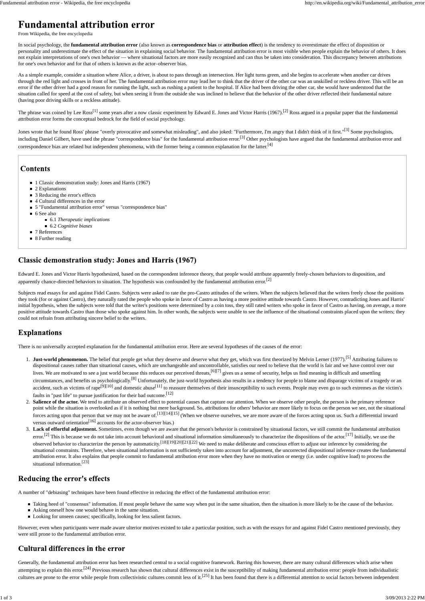From Wikipedia, the free encyclopedia

In social psychology, the **fundamental attribution error** (also known as **correspondence bias** or **attribution effect**) is the tendency to overestimate the effect of disposition or personality and underestimate the effect of the situation in explaining social behavior. The fundamental attribution error is most visible when people explain the behavior of others. It does not explain interpretations of one's own behavior — where situational factors are more easily recognized and can thus be taken into consideration. This discrepancy between attributions for one's own behavior and for that of others is known as the actor–observer bias.

As a simple example, consider a situation where Alice, a driver, is about to pass through an intersection. Her light turns green, and she begins to accelerate when another car drives through the red light and crosses in front of her. The fundamental attribution error may lead her to think that the driver of the other car was an unskilled or reckless driver. This will be an error if the other driver had a good reason for running the light, such as rushing a patient to the hospital. If Alice had been driving the other car, she would have understood that the situation called for speed at the cost of safety, but when seeing it from the outside she was inclined to believe that the behavior of the other driver reflected their fundamental nature (having poor driving skills or a reckless attitude).

The phrase was coined by Lee Ross<sup>[1]</sup> some years after a now classic experiment by Edward E. Jones and Victor Harris (1967).<sup>[2]</sup> Ross argued in a popular paper that the fundamental attribution error forms the conceptual bedrock for the field of social psychology.

Jones wrote that he found Ross' phrase "overly provocative and somewhat misleading", and also joked: "Furthermore, I'm angry that I didn't think of it first."<sup>[3]</sup> Some psychologists, including Daniel Gilbert, have used the phrase "correspondence bias" for the fundamental attribution error.<sup>[3]</sup> Other psychologists have argued that the fundamental attribution error and correspondence bias are related but independent phenomena, with the former being a common explanation for the latter.[4]

#### **Contents**

- 1 Classic demonstration study: Jones and Harris (1967)
- 2 Explanations
- 3 Reducing the error's effects
- 4 Cultural differences in the error
- 5 "Fundamental attribution error" versus "correspondence bias"
- 6 See also
	- 6.1 *Therapeutic implications*
	- 6.2 *Cognitive biases*
- 7 References
- 8 Further reading

# **Classic demonstration study: Jones and Harris (1967)**

Edward E. Jones and Victor Harris hypothesized, based on the correspondent inference theory, that people would attribute apparently freely-chosen behaviors to disposition, and apparently chance-directed behaviors to situation. The hypothesis was confounded by the fundamental attribution error.<sup>[2]</sup>

Subjects read essays for and against Fidel Castro. Subjects were asked to rate the pro-Castro attitudes of the writers. When the subjects believed that the writers freely chose the positions they took (for or against Castro), they naturally rated the people who spoke in favor of Castro as having a more positive attitude towards Castro. However, contradicting Jones and Harris' initial hypothesis, when the subjects were told that the writer's positions were determined by a coin toss, they still rated writers who spoke in favor of Castro as having, on average, a more positive attitude towards Castro than those who spoke against him. In other words, the subjects were unable to see the influence of the situational constraints placed upon the writers; they could not refrain from attributing sincere belief to the writers.

# **Explanations**

attribution error. It also explains that people commit to fundamental attribution error more when they have no motivation or energy (i.e. under cognitive load) to process the situational information.<sup>[23]</sup>

### Reducing the error's effects

- 1. **Just-world phenomenon.** The belief that people get what they deserve and deserve what they get, which was first theorized by Melvin Lerner (1977).<sup>[5]</sup> Attributing failures to dispositional causes rather than situational causes, which are unchangeable and uncontrollable, satisfies our need to believe that the world is fair and we have control over our lives. We are motivated to see a just world because this reduces our perceived threats, [6][7] gives us a sense of security, helps us find meaning in difficult and unsettling circumstances, and benefits us psychologically.<sup>[8]</sup> Unfortunately, the just-world hypothesis also results in a tendency for people to blame and disparage victims of a tragedy or an accident, such as victims of rape<sup>[9][10]</sup> and domestic abuse<sup>[11]</sup> to reassure themselves of their insusceptibility to such events. People may even go to such extremes as the victim's faults in "past life" to pursue justification for their bad outcome.[12]
- 2. Salience of the actor. We tend to attribute an observed effect to potential causes that capture our attention. When we observe other people, the person is the primary reference point while the situation is overlooked as if it is nothing but mere background. So, attributions for others' behavior are more likely to focus on the person we see, not the situational forces acting upon that person that we may not be aware of.<sup>[13][14][15]</sup> (When we observe ourselves, we are more aware of the forces acting upon us. Such a differential inward versus outward orientation<sup>[16]</sup> accounts for the actor-observer bias.)
- Lack of effortful adjustment. Sometimes, even though we are aware that the person's behavior is constrained by situational factors, we still commit the fundamental attribution error.<sup>[2]</sup> This is because we do not take into account behavioral and situational information simultaneously to characterize the dispositions of the actor.<sup>[17]</sup> Initially, we use the observed behavior to characterize the person by automaticity.[18][19][20][21][22] We need to make deliberate and conscious effort to adjust our inference by considering the situational constraints. Therefore, when situational information is not sufficiently taken into account for adjustment, the uncorrected dispositional inference creates the fundamental 3.

Generally, the fundamental attribution error has been researched central to a social cognitive framework. Barring this however, there are many cultural differences which arise when attempting to explain this error.<sup>[24]</sup> Previous research has shown that cultural differences exist in the susceptibility of making fundamental attribution error: people from individualistic cultures are prone to the error while people from collectivistic cultures commit less of it.<sup>[25]</sup> It has been found that there is a differential attention to social factors between independent

There is no universally accepted explanation for the fundamental attribution error. Here are several hypotheses of the causes of the error:

A number of "debiasing" techniques have been found effective in reducing the effect of the fundamental attribution error:

- Taking heed of "consensus" information. If most people behave the same way when put in the same situation, then the situation is more likely to be the cause of the behavior.
- Asking oneself how one would behave in the same situation.
- Looking for unseen causes; specifically, looking for less salient factors.

However, even when participants were made aware ulterior motives existed to take a particular position, such as with the essays for and against Fidel Castro mentioned previously, they were still prone to the fundamental attribution error.

### **Cultural differences in the error**

# **Fundamental attribution error**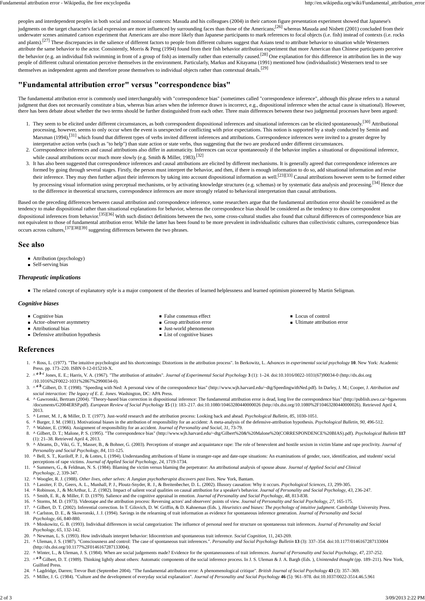The fundamental attribution error is commonly used interchangeably with "correspondence bias" (sometimes called "correspondence inference", although this phrase refers to a natural judgment that does not necessarily constitute a bias, whereas bias arises when the inference drawn is incorrect, e.g., dispositional inference when the actual cause is situational). However, there has been debate about whether the two terms should be further distinguished from each other. Three main differences between these two judgmental processes have been argued:

- 1. They seem to be elicited under different circumstances, as both correspondent dispositional inferences and situational inferences can be elicited spontaneously.<sup>[30]</sup> Attributional processing, however, seems to only occur when the event is unexpected or conflicting with prior expectations. This notion is supported by a study conducted by Semin and Marsman (1994),<sup>[31]</sup> which found that different types of verbs invited different inferences and attributions. Correspondence inferences were invited to a greater degree by interpretative action verbs (such as "to help") than state action or state verbs, thus suggesting that the two are produced under different circumstances.
- Correspondence inferences and causal attributions also differ in automaticity. Inferences can occur spontaneously if the behavior implies a situational or dispositional inference, 2. while causal attributions occur much more slowly (e.g. Smith & Miller, 1983).<sup>[32]</sup>
- It has also been suggested that correspondence inferences and causal attributions are elicited by different mechanisms. It is generally agreed that correspondence inferences are 3. formed by going through several stages. Firstly, the person must interpret the behavior, and then, if there is enough information to do so, add situational information and revise their inference. They may then further adjust their inferences by taking into account dispositional information as well.<sup>[23][33]</sup> Causal attributions however seem to be formed either by processing visual information using perceptual mechanisms, or by activating knowledge structures (e.g. schemas) or by systematic data analysis and processing.<sup>[34]</sup> Hence due to the difference in theoretical structures, correspondence inferences are more strongly related to behavioral interpretation than causal attributions.

Based on the preceding differences between causal attribution and correspondence inference, some researchers argue that the fundamental attribution error should be considered as the tendency to make dispositional rather than situational explanations for behavior, whereas the correspondence bias should be considered as the tendency to draw correspondent dispositional inferences from behavior.<sup>[35][36]</sup> With such distinct definitions between the two, some cross-cultural studies also found that cultural differences of correspondence bias are not equivalent to those of fundamental attribution error. While the latter has been found to be more prevalent in individualistic cultures than collectivistic cultures, correspondence bias occurs across cultures,[37][38][39] suggesting differences between the two phrases.

#### See also

- Attribution (psychology)
- Self-serving bias

#### *Therapeutic implications*

■ The related concept of explanatory style is a major component of the theories of learned helplessness and learned optimism pioneered by Martin Seligman.

#### *Cognitive biases*

- Cognitive bias
- Actor–observer asymmetry
- Attributional bias
- **Defensive attribution hypothesis**
- False consensus effect
- Group attribution error
- Just-world phenomenon
- List of cognitive biases
- Locus of control
- Ultimate attribution error

### **References**

- **^** Ross, L. (1977). "The intuitive psychologist and his shortcomings: Distortions in the attribution process". In Berkowitz, L. *Advances in experimental social psychology* **10**. New York: Academic 1. Press. pp. 173–220. ISBN 0-12-015210-X.
- 2. ^ <sup>*a b c*</sup> Jones, E. E.; Harris, V. A. (1967). "The attribution of attitudes". *Journal of Experimental Social Psychology* 3 (1): 1–24. doi:10.1016/0022-1031(67)90034-0 (http://dx.doi.org /10.1016%2F0022-1031%2867%2990034-0).
- 3. ^ <sup>*a b*</sup> Gilbert, D. T. (1998). "Speeding with Ned: A personal view of the correspondence bias" (http://www.wjh.harvard.edu/~dtg/SpeedingwithNed.pdf). In Darley, J. M.; Cooper, J. *Attribution and social interaction: The legacy of E. E. Jones*. Washington, DC: APA Press.
- 4. ^ Gawronski, Bertram (2004). "Theory-based bias correction in dispositional inference: The fundamental attribution error is dead, long live the correspondence bias" (http://publish.uwo.ca/~bgawrons /documents/G2004ERSP.pdf). *European Review of Social Psychology* **15** (1): 183–217. doi:10.1080/10463280440000026 (http://dx.doi.org/10.1080%2F10463280440000026). Retrieved April 4, 2013.
- 5. **^** Lerner, M. J., & Miller, D. T. (1977). Just-world research and the attribution process: Looking back and ahead. *Psychological Bulletin*, *85*, 1030-1051.
- 6. **^** Burger, J. M. (1981). Motivational biases in the attribution of responsibility for an accident: A meta-analysis of the defensive-attribution hypothesis. *Psychological Bulletin*, *90*, 496-512.
- 7. **^** Walster, E. (1966). Assignment of responsibility for an accident. *Journal of Personality and Social*, *31*, 73-79.
- 8. ^ Gilbert, D. T.; Malone, P. S. (1995). "The correspondence bias" (http://www.wjh.harvard.edu/~dtg/Gilbert%20&%20Malone%20(CORRESPONDENCE%20BIAS).pdf). Psychological Bulletin 117 (1): 21–38. Retrieved April 4, 2013.
- 9. A Abrams, D., Viki, G. T., Masser, B., & Bohner, G. (2003). Perceptions of stranger and acquaintance rape: The role of benevolent and hostile sexism in victim blame and rape proclivity. *Journal of Personality and Social Psychology*, *84*, 111-125.
- 10. A Bell, S. T., Kuriloff, P. J., & Lottes, I. (1994). Understanding attributions of blame in stranger-rape and date-rape situations: An examinations of gender, race, identification, and students' social perceptions of rape victims. *Journal of Applied Social Psychology*, *24*, 1719-1734.
- 11. ^ Summers, G., & Feldman, N. S. (1984). Blaming the victim versus blaming the perpetrator: An attributional analysis of spouse abuse. *Journal of Applied Social and Clinical Psychology*, *2*, 339-347.
- 12. **^** Woogler, R. J. (1988). *Other lives, other selves: A Jungian psychotherapist discovers past lives*. New York, Bantam.
- 13. **^** Lassiter, F. D., Geers, A. L., Munhall, P. J., Ploutz-Snyder, R. J., & Breitenbecher, D. L. (2002). Illusory causation: Why it occurs. *Psychological Sciences*, *13*, 299-305.
- 14. **^** Robinson, J., & McArthur, L. Z. (1982). Impact of salient vocal qualities on causal attribution for a speaker's behavior. *Journal of Personality and Social Psychology*, *43*, 236-247.
- 15. **^** Smith, E. R., & Miller, F. D. (1979). Salience and the cognitive appraisal in emotion. *Journal of Personality and Social Psychology*, *48*, 813-838.
- 16. **^** Storms, M. D. (1973). Videotape and the attribution process: Reversing actors' and observers' points of view. *Journal of Personality and Social Psychology*, *27*, 165-175.
- 17. **^** Gilbert, D. T. (2002). Inferential correction. In T. Gilovich, D. W. Griffin, & D. Kahneman (Eds. ), *Heuristics and biases: The psychology of intuitive judgment*. Cambridge University Press.
- 18. ^ Carlston, D. E., & Skowronski, J. J. (1994). Savings in the relearning of trait information as evidence for spontaneous inference generation. *Journal of Personality and Social Psychology*, *66*, 840-880.
- **^** Moskowitz, G. B. (1993). Individual differences in social categorization: The influence of personal need for structure on spontaneous trait inferences. *Journal of Personality and Social* 19. *Psychology*, *65*, 132-142.
- 20. **^** Newman, L. S. (1993). How individuals interpret behavior: Idiocentrism and spontaneous trait inference. *Social Cognition*, 11, 243-269.
- **^** Uleman, J. S. (1987). "Consciousness and control: The case of spontaneous trait inferences.". *Personality and Social Psychology Bulletin* **13** (3): 337–354. doi:10.1177/0146167287133004 21. (http://dx.doi.org/10.1177%2F0146167287133004).
- 22. **^** Winter, L., & Uleman, J. S. (1984). When are social judgements made? Evidence for the spontaneousness of trait inferences. *Journal of Personality and Social Psychology*, *47*, 237-252.
- 23. ^ <sup>*a b*</sup> Gilbert, D. T. (1989). Thinking lightly about others: Automatic components of the social inference process. In J. S. Uleman & J. A. Bargh (Eds.), *Unintended thought* (pp. 189–211). New York, Guilford Press.
- 24. **^** Lagdridge, Darren; Trevor Butt (September 2004). "The fundamental attribution error: A phenomenological critique". *British Journal of Social Psychology* **43** (3): 357–369.
- 25. **^** Miller, J. G. (1984). "Culture and the development of everyday social explanation". *Journal of Personality and Social Psychology* **46** (5): 961–978. doi:10.1037/0022-3514.46.5.961

peoples and interdependent peoples in both social and nonsocial contexts: Masuda and his colleagues (2004) in their cartoon figure presentation experiment showed that Japanese's judgments on the target character's facial expression are more influenced by surrounding faces than those of the Americans;<sup>[26]</sup> whereas Masuda and Nisbett (2001) concluded from their underwater scenes animated cartoon experiment that Americans are also more likely than Japanese participants to mark references to focal objects (i.e. fish) instead of contexts (i.e. rocks and plants).<sup>[27]</sup> These discrepancies in the salience of different factors to people from different cultures suggest that Asians tend to attribute behavior to situation while Westerners attribute the same behavior to the actor. Consistently, Morris & Peng (1994) found from their fish behavior attribution experiment that more American than Chinese participants perceive the behavior (e.g. an individual fish swimming in front of a group of fish) as internally rather than externally caused.<sup>[28]</sup> One explanation for this difference in attribution lies in the way people of different cultural orientation perceive themselves in the environment. Particularly, Markus and Kitayama (1991) mentioned how (individualistic) Westerners tend to see themselves as independent agents and therefore prone themselves to individual objects rather than contextual details.<sup>[29]</sup>

### "Fundamental attribution error" versus "correspondence bias"